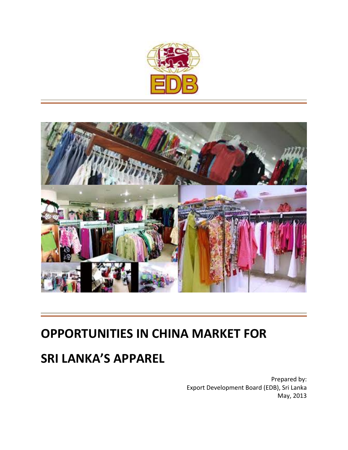



# **OPPORTUNITIES IN CHINA MARKET FOR**

# **SRI LANKA'S APPAREL**

Prepared by: Export Development Board (EDB), Sri Lanka May, 2013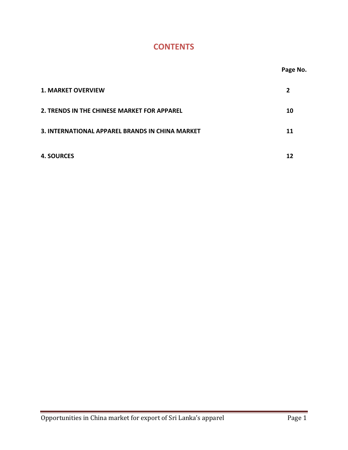# **CONTENTS**

|                                                 | Page No.       |
|-------------------------------------------------|----------------|
| <b>1. MARKET OVERVIEW</b>                       | $\overline{2}$ |
| 2. TRENDS IN THE CHINESE MARKET FOR APPAREL     | 10             |
| 3. INTERNATIONAL APPAREL BRANDS IN CHINA MARKET | 11             |
| <b>4. SOURCES</b>                               | 12             |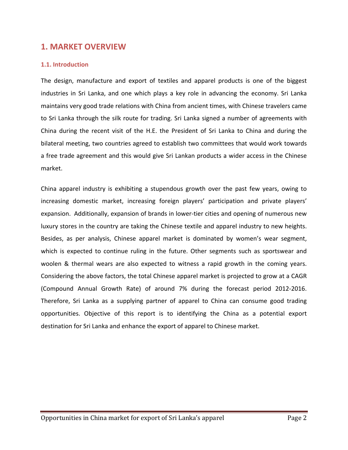# **1. MARKET OVERVIEW**

#### **1.1. Introduction**

The design, manufacture and export of textiles and apparel products is one of the biggest industries in Sri Lanka, and one which plays a key role in advancing the economy. Sri Lanka maintains very good trade relations with China from ancient times, with Chinese travelers came to Sri Lanka through the silk route for trading. Sri Lanka signed a number of agreements with China during the recent visit of the H.E. the President of Sri Lanka to China and during the bilateral meeting, two countries agreed to establish two committees that would work towards a free trade agreement and this would give Sri Lankan products a wider access in the Chinese market.

China apparel industry is exhibiting a stupendous growth over the past few years, owing to increasing domestic market, increasing foreign players' participation and private players' expansion. Additionally, expansion of brands in lower-tier cities and opening of numerous new luxury stores in the country are taking the Chinese textile and apparel industry to new heights. Besides, as per analysis, Chinese apparel market is dominated by women's wear segment, which is expected to continue ruling in the future. Other segments such as sportswear and woolen & thermal wears are also expected to witness a rapid growth in the coming years. Considering the above factors, the total Chinese apparel market is projected to grow at a CAGR (Compound Annual Growth Rate) of around 7% during the forecast period 2012‐2016. Therefore, Sri Lanka as a supplying partner of apparel to China can consume good trading opportunities. Objective of this report is to identifying the China as a potential export destination for Sri Lanka and enhance the export of apparel to Chinese market.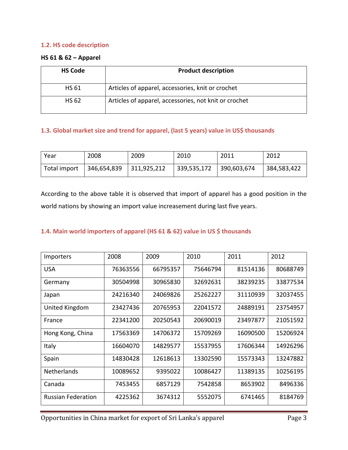## **1.2. HS code description**

#### **HS 61 & 62 – Apparel**

| <b>HS Code</b> | <b>Product description</b>                            |
|----------------|-------------------------------------------------------|
| <b>HS 61</b>   | Articles of apparel, accessories, knit or crochet     |
| <b>HS 62</b>   | Articles of apparel, accessories, not knit or crochet |

## **1.3. Global market size and trend for apparel, (last 5 years) value in US\$ thousands**

| Year         | 2008        | 2009        | 2010        | 2011        | 2012        |
|--------------|-------------|-------------|-------------|-------------|-------------|
| Total import | 346,654,839 | 311,925,212 | 339,535,172 | 390,603,674 | 384,583,422 |

According to the above table it is observed that import of apparel has a good position in the world nations by showing an import value increasement during last five years.

# **1.4. Main world importers of apparel (HS 61 & 62) value in US \$ thousands**

| <b>Importers</b>          | 2008     | 2009     | 2010     | 2011     | 2012     |
|---------------------------|----------|----------|----------|----------|----------|
| <b>USA</b>                | 76363556 | 66795357 | 75646794 | 81514136 | 80688749 |
| Germany                   | 30504998 | 30965830 | 32692631 | 38239235 | 33877534 |
| Japan                     | 24216340 | 24069826 | 25262227 | 31110939 | 32037455 |
| United Kingdom            | 23427436 | 20765953 | 22041572 | 24889191 | 23754957 |
| France                    | 22341200 | 20250543 | 20690019 | 23497877 | 21051592 |
| Hong Kong, China          | 17563369 | 14706372 | 15709269 | 16090500 | 15206924 |
| Italy                     | 16604070 | 14829577 | 15537955 | 17606344 | 14926296 |
| Spain                     | 14830428 | 12618613 | 13302590 | 15573343 | 13247882 |
| <b>Netherlands</b>        | 10089652 | 9395022  | 10086427 | 11389135 | 10256195 |
| Canada                    | 7453455  | 6857129  | 7542858  | 8653902  | 8496336  |
| <b>Russian Federation</b> | 4225362  | 3674312  | 5552075  | 6741465  | 8184769  |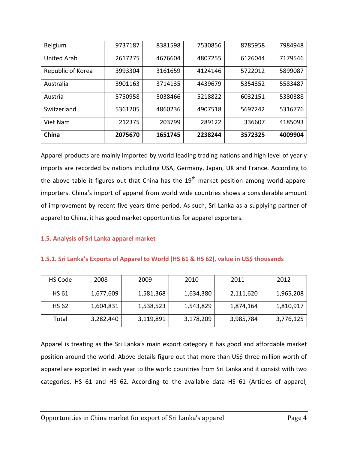| Belgium            | 9737187 | 8381598 | 7530856 | 8785958 | 7984948 |
|--------------------|---------|---------|---------|---------|---------|
| <b>United Arab</b> | 2617275 | 4676604 | 4807255 | 6126044 | 7179546 |
| Republic of Korea  | 3993304 | 3161659 | 4124146 | 5722012 | 5899087 |
| Australia          | 3901163 | 3714135 | 4439679 | 5354352 | 5583487 |
| Austria            | 5750958 | 5038466 | 5218822 | 6032151 | 5380388 |
| Switzerland        | 5361205 | 4860236 | 4907518 | 5697242 | 5316776 |
| Viet Nam           | 212375  | 203799  | 289122  | 336607  | 4185093 |
| China              | 2075670 | 1651745 | 2238244 | 3572325 | 4009904 |

Apparel products are mainly imported by world leading trading nations and high level of yearly imports are recorded by nations including USA, Germany, Japan, UK and France. According to the above table it figures out that China has the  $19<sup>th</sup>$  market position among world apparel importers. China's import of apparel from world wide countries shows a considerable amount of improvement by recent five years time period. As such, Sri Lanka as a supplying partner of apparel to China, it has good market opportunities for apparel exporters.

# **1.5. Analysis of Sri Lanka apparel market**

#### **1.5.1. Sri Lanka's Exports of Apparel to World (HS 61 & HS 62), value in US\$ thousands**

| HS Code      | 2008      | 2009      | 2010      | 2011      | 2012      |
|--------------|-----------|-----------|-----------|-----------|-----------|
| HS 61        | 1,677,609 | 1,581,368 | 1,634,380 | 2,111,620 | 1,965,208 |
| <b>HS 62</b> | 1,604,831 | 1,538,523 | 1,543,829 | 1,874,164 | 1,810,917 |
| Total        | 3,282,440 | 3,119,891 | 3,178,209 | 3,985,784 | 3,776,125 |

Apparel is treating as the Sri Lanka's main export category it has good and affordable market position around the world. Above details figure out that more than US\$ three million worth of apparel are exported in each year to the world countries from Sri Lanka and it consist with two categories, HS 61 and HS 62. According to the available data HS 61 (Articles of apparel,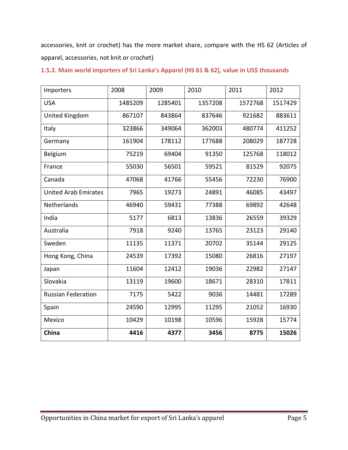accessories, knit or crochet) has the more market share, compare with the HS 62 (Articles of apparel, accessories, not knit or crochet).

| Importers                   | 2008    | 2009    | 2010    | 2011    | 2012    |
|-----------------------------|---------|---------|---------|---------|---------|
| <b>USA</b>                  | 1485209 | 1285401 | 1357208 | 1572768 | 1517429 |
| United Kingdom              | 867107  | 843864  | 837646  | 921682  | 883611  |
| Italy                       | 323866  | 349064  | 362003  | 480774  | 411252  |
| Germany                     | 161904  | 178112  | 177688  | 208029  | 187728  |
| Belgium                     | 75219   | 69404   | 91350   | 125768  | 118012  |
| France                      | 55030   | 56501   | 59521   | 81529   | 92075   |
| Canada                      | 47068   | 41766   | 55456   | 72230   | 76900   |
| <b>United Arab Emirates</b> | 7965    | 19273   | 24891   | 46085   | 43497   |
| Netherlands                 | 46940   | 59431   | 77388   | 69892   | 42648   |
| India                       | 5177    | 6813    | 13836   | 26559   | 39329   |
| Australia                   | 7918    | 9240    | 13765   | 23123   | 29140   |
| Sweden                      | 11135   | 11371   | 20702   | 35144   | 29125   |
| Hong Kong, China            | 24539   | 17392   | 15080   | 26816   | 27197   |
| Japan                       | 11604   | 12412   | 19036   | 22982   | 27147   |
| Slovakia                    | 13119   | 19600   | 18671   | 28310   | 17811   |
| <b>Russian Federation</b>   | 7175    | 5422    | 9036    | 14481   | 17289   |
| Spain                       | 24590   | 12995   | 11295   | 21052   | 16930   |
| Mexico                      | 10429   | 10198   | 10596   | 15928   | 15774   |
| China                       | 4416    | 4377    | 3456    | 8775    | 15026   |

**1.5.2. Main world importers of Sri Lanka's Apparel (HS 61 & 62), value in US\$ thousands**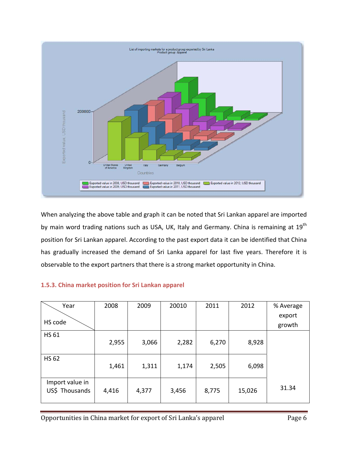

When analyzing the above table and graph it can be noted that Sri Lankan apparel are imported by main word trading nations such as USA, UK, Italy and Germany. China is remaining at 19<sup>th</sup> position for Sri Lankan apparel. According to the past export data it can be identified that China has gradually increased the demand of Sri Lanka apparel for last five years. Therefore it is observable to the export partners that there is a strong market opportunity in China.

# **1.5.3. China market position for Sri Lankan apparel**

| Year            | 2008  | 2009  | 20010 | 2011  | 2012   | % Average |
|-----------------|-------|-------|-------|-------|--------|-----------|
|                 |       |       |       |       |        | export    |
| HS code         |       |       |       |       |        | growth    |
| <b>HS 61</b>    |       |       |       |       |        |           |
|                 | 2,955 | 3,066 | 2,282 | 6,270 | 8,928  |           |
| <b>HS 62</b>    |       |       |       |       |        |           |
|                 | 1,461 | 1,311 | 1,174 | 2,505 | 6,098  |           |
|                 |       |       |       |       |        |           |
| Import value in |       |       |       |       |        | 31.34     |
| US\$ Thousands  | 4,416 | 4,377 | 3,456 | 8,775 | 15,026 |           |
|                 |       |       |       |       |        |           |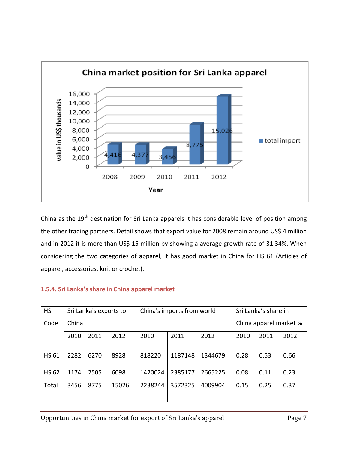

China as the 19<sup>th</sup> destination for Sri Lanka apparels it has considerable level of position among the other trading partners. Detail shows that export value for 2008 remain around US\$ 4 million and in 2012 it is more than US\$ 15 million by showing a average growth rate of 31.34%. When considering the two categories of apparel, it has good market in China for HS 61 (Articles of apparel, accessories, knit or crochet).

| <b>HS</b>    | Sri Lanka's exports to |      | China's imports from world |         |         | Sri Lanka's share in |      |                        |      |  |
|--------------|------------------------|------|----------------------------|---------|---------|----------------------|------|------------------------|------|--|
| Code         | China                  |      |                            |         |         |                      |      | China apparel market % |      |  |
|              | 2010                   | 2011 | 2012                       | 2010    | 2011    | 2012                 | 2010 | 2011                   | 2012 |  |
| <b>HS 61</b> | 2282                   | 6270 | 8928                       | 818220  | 1187148 | 1344679              | 0.28 | 0.53                   | 0.66 |  |
| <b>HS 62</b> | 1174                   | 2505 | 6098                       | 1420024 | 2385177 | 2665225              | 0.08 | 0.11                   | 0.23 |  |
| Total        | 3456                   | 8775 | 15026                      | 2238244 | 3572325 | 4009904              | 0.15 | 0.25                   | 0.37 |  |

# **1.5.4. Sri Lanka's share in China apparel market**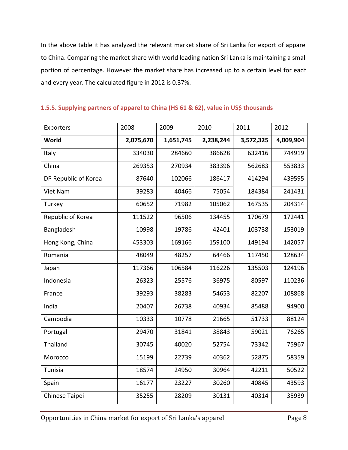In the above table it has analyzed the relevant market share of Sri Lanka for export of apparel to China. Comparing the market share with world leading nation Sri Lanka is maintaining a small portion of percentage. However the market share has increased up to a certain level for each and every year. The calculated figure in 2012 is 0.37%.

| Exporters            | 2008      | 2009      | 2010      | 2011      | 2012      |
|----------------------|-----------|-----------|-----------|-----------|-----------|
| World                | 2,075,670 | 1,651,745 | 2,238,244 | 3,572,325 | 4,009,904 |
| Italy                | 334030    | 284660    | 386628    | 632416    | 744919    |
| China                | 269353    | 270934    | 383396    | 562683    | 553833    |
| DP Republic of Korea | 87640     | 102066    | 186417    | 414294    | 439595    |
| Viet Nam             | 39283     | 40466     | 75054     | 184384    | 241431    |
| Turkey               | 60652     | 71982     | 105062    | 167535    | 204314    |
| Republic of Korea    | 111522    | 96506     | 134455    | 170679    | 172441    |
| Bangladesh           | 10998     | 19786     | 42401     | 103738    | 153019    |
| Hong Kong, China     | 453303    | 169166    | 159100    | 149194    | 142057    |
| Romania              | 48049     | 48257     | 64466     | 117450    | 128634    |
| Japan                | 117366    | 106584    | 116226    | 135503    | 124196    |
| Indonesia            | 26323     | 25576     | 36975     | 80597     | 110236    |
| France               | 39293     | 38283     | 54653     | 82207     | 108868    |
| India                | 20407     | 26738     | 40934     | 85488     | 94900     |
| Cambodia             | 10333     | 10778     | 21665     | 51733     | 88124     |
| Portugal             | 29470     | 31841     | 38843     | 59021     | 76265     |
| Thailand             | 30745     | 40020     | 52754     | 73342     | 75967     |
| Morocco              | 15199     | 22739     | 40362     | 52875     | 58359     |
| Tunisia              | 18574     | 24950     | 30964     | 42211     | 50522     |
| Spain                | 16177     | 23227     | 30260     | 40845     | 43593     |
| Chinese Taipei       | 35255     | 28209     | 30131     | 40314     | 35939     |

# **1.5.5. Supplying partners of apparel to China (HS 61 & 62), value in US\$ thousands**

Opportunities in China market for export of Sri Lanka's apparel Page 8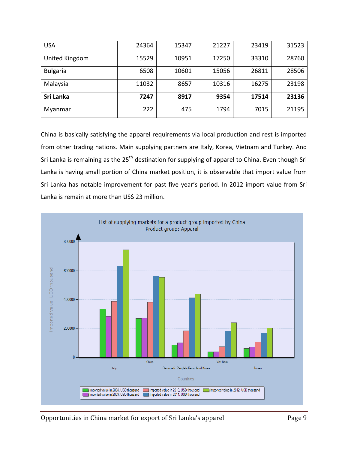| <b>USA</b>      | 24364 | 15347 | 21227 | 23419 | 31523 |
|-----------------|-------|-------|-------|-------|-------|
| United Kingdom  | 15529 | 10951 | 17250 | 33310 | 28760 |
| <b>Bulgaria</b> | 6508  | 10601 | 15056 | 26811 | 28506 |
| Malaysia        | 11032 | 8657  | 10316 | 16275 | 23198 |
| Sri Lanka       | 7247  | 8917  | 9354  | 17514 | 23136 |
| Myanmar         | 222   | 475   | 1794  | 7015  | 21195 |

China is basically satisfying the apparel requirements via local production and rest is imported from other trading nations. Main supplying partners are Italy, Korea, Vietnam and Turkey. And Sri Lanka is remaining as the 25<sup>th</sup> destination for supplying of apparel to China. Even though Sri Lanka is having small portion of China market position, it is observable that import value from Sri Lanka has notable improvement for past five year's period. In 2012 import value from Sri Lanka is remain at more than US\$ 23 million.

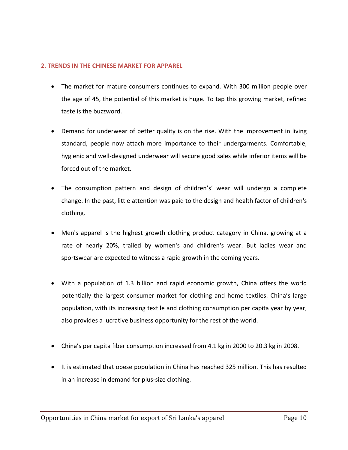## **2. TRENDS IN THE CHINESE MARKET FOR APPAREL**

- The market for mature consumers continues to expand. With 300 million people over the age of 45, the potential of this market is huge. To tap this growing market, refined taste is the buzzword.
- Demand for underwear of better quality is on the rise. With the improvement in living standard, people now attach more importance to their undergarments. Comfortable, hygienic and well‐designed underwear will secure good sales while inferior items will be forced out of the market.
- The consumption pattern and design of children's' wear will undergo a complete change. In the past, little attention was paid to the design and health factor of children's clothing.
- Men's apparel is the highest growth clothing product category in China, growing at a rate of nearly 20%, trailed by women's and children's wear. But ladies wear and sportswear are expected to witness a rapid growth in the coming years.
- With a population of 1.3 billion and rapid economic growth, China offers the world potentially the largest consumer market for clothing and home textiles. China's large population, with its increasing textile and clothing consumption per capita year by year, also provides a lucrative business opportunity for the rest of the world.
- China's per capita fiber consumption increased from 4.1 kg in 2000 to 20.3 kg in 2008.
- It is estimated that obese population in China has reached 325 million. This has resulted in an increase in demand for plus‐size clothing.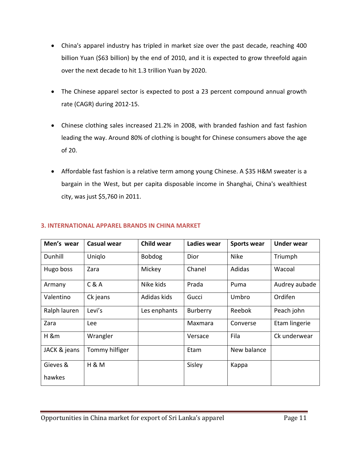- China's apparel industry has tripled in market size over the past decade, reaching 400 billion Yuan (\$63 billion) by the end of 2010, and it is expected to grow threefold again over the next decade to hit 1.3 trillion Yuan by 2020.
- The Chinese apparel sector is expected to post a 23 percent compound annual growth rate (CAGR) during 2012‐15.
- Chinese clothing sales increased 21.2% in 2008, with branded fashion and fast fashion leading the way. Around 80% of clothing is bought for Chinese consumers above the age of 20.
- Affordable fast fashion is a relative term among young Chinese. A \$35 H&M sweater is a bargain in the West, but per capita disposable income in Shanghai, China's wealthiest city, was just \$5,760 in 2011.

| Men's wear   | <b>Casual wear</b> | <b>Child wear</b> | Ladies wear | <b>Sports wear</b> | <b>Under wear</b> |
|--------------|--------------------|-------------------|-------------|--------------------|-------------------|
| Dunhill      | Uniqlo             | <b>Bobdog</b>     | Dior        | <b>Nike</b>        | Triumph           |
| Hugo boss    | Zara               | Mickey            | Chanel      | Adidas             | Wacoal            |
| Armany       | C & A              | Nike kids         | Prada       | Puma               | Audrey aubade     |
| Valentino    | Ck jeans           | Adidas kids       | Gucci       | Umbro              | Ordifen           |
| Ralph lauren | Levi's             | Les enphants      | Burberry    | Reebok             | Peach john        |
| Zara         | Lee                |                   | Maxmara     | Converse           | Etam lingerie     |
| H &m         | Wrangler           |                   | Versace     | Fila               | Ck underwear      |
| JACK & jeans | Tommy hilfiger     |                   | Etam        | New balance        |                   |
| Gieves &     | <b>H &amp; M</b>   |                   | Sisley      | Kappa              |                   |
| hawkes       |                    |                   |             |                    |                   |

# **3. INTERNATIONAL APPAREL BRANDS IN CHINA MARKET**